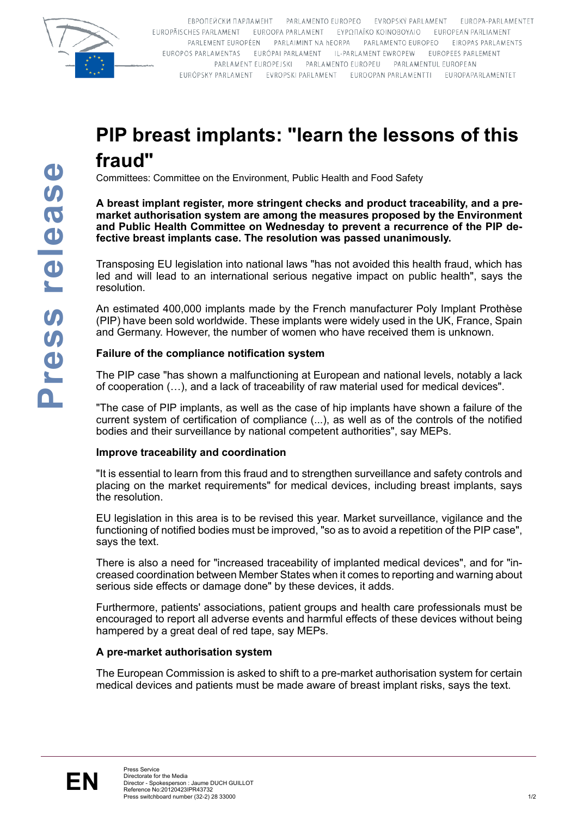

FRPOLIEЙCKИ ПАРЛАМЕНТ РАВНАМЕНТО FUROPEO FVROPSKÝ PARLAMENT FUROPA-PARLAMENTET EUROPÄISCHES PARLAMENT EUROOPA PARLAMENT EYPOITAÏKO KOINOBOYAIO EUROPEAN PARLIAMENT PARLEMENT EUROPÉEN PARLAIMINT NA HEORPA PARLAMENTO EUROPEO EIROPAS PARLAMENTS EUROPOS PARLAMENTAS EURÓPAI PARLAMENT IL-PARLAMENT EWROPEW EUROPEES PARLEMENT PARLAMENT EUROPEJSKI PARLAMENTO EUROPEU PARLAMENTUL EUROPEAN EURÓPSKY PARLAMENT EVROPSKI PARLAMENT EUROOPAN PARLAMENTTI EUROPAPARLAMENTET

# **PIP breast implants: "learn the lessons of this fraud"**

Committees: Committee on the Environment, Public Health and Food Safety

**A breast implant register, more stringent checks and product traceability, and a premarket authorisation system are among the measures proposed by the Environment and Public Health Committee on Wednesday to prevent a recurrence of the PIP defective breast implants case. The resolution was passed unanimously.**

Transposing EU legislation into national laws "has not avoided this health fraud, which has led and will lead to an international serious negative impact on public health", says the resolution.

An estimated 400,000 implants made by the French manufacturer Poly Implant Prothèse (PIP) have been sold worldwide. These implants were widely used in the UK, France, Spain and Germany. However, the number of women who have received them is unknown.

# **Failure of the compliance notification system**

The PIP case "has shown a malfunctioning at European and national levels, notably a lack of cooperation (…), and a lack of traceability of raw material used for medical devices".

"The case of PIP implants, as well as the case of hip implants have shown a failure of the current system of certification of compliance (...), as well as of the controls of the notified bodies and their surveillance by national competent authorities", say MEPs.

## **Improve traceability and coordination**

"It is essential to learn from this fraud and to strengthen surveillance and safety controls and placing on the market requirements" for medical devices, including breast implants, says the resolution.

EU legislation in this area is to be revised this year. Market surveillance, vigilance and the functioning of notified bodies must be improved, "so as to avoid a repetition of the PIP case", says the text.

There is also a need for "increased traceability of implanted medical devices", and for "increased coordination between Member States when it comes to reporting and warning about serious side effects or damage done" by these devices, it adds.

Furthermore, patients' associations, patient groups and health care professionals must be encouraged to report all adverse events and harmful effects of these devices without being hampered by a great deal of red tape, say MEPs.

## **A pre-market authorisation system**

The European Commission is asked to shift to a pre-market authorisation system for certain medical devices and patients must be made aware of breast implant risks, says the text.